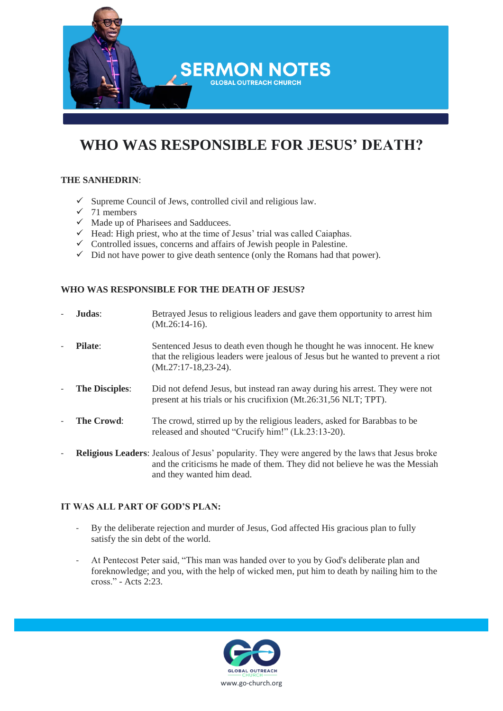

# **WHO WAS RESPONSIBLE FOR JESUS' DEATH?**

## **THE SANHEDRIN**:

- $\checkmark$  Supreme Council of Jews, controlled civil and religious law.
- $\checkmark$  71 members
- $\checkmark$  Made up of Pharisees and Sadducees.
- $\checkmark$  Head: High priest, who at the time of Jesus' trial was called Caiaphas.
- $\checkmark$  Controlled issues, concerns and affairs of Jewish people in Palestine.
- ✓ Did not have power to give death sentence (only the Romans had that power).

## **WHO WAS RESPONSIBLE FOR THE DEATH OF JESUS?**

| Judas:                | Betrayed Jesus to religious leaders and gave them opportunity to arrest him<br>$(Mt.26:14-16).$                                                                                                                    |
|-----------------------|--------------------------------------------------------------------------------------------------------------------------------------------------------------------------------------------------------------------|
| <b>Pilate:</b>        | Sentenced Jesus to death even though he thought he was innocent. He knew<br>that the religious leaders were jealous of Jesus but he wanted to prevent a riot<br>$(Mt.27:17-18,23-24).$                             |
| <b>The Disciples:</b> | Did not defend Jesus, but instead ran away during his arrest. They were not<br>present at his trials or his crucifixion (Mt.26:31,56 NLT; TPT).                                                                    |
| The Crowd:            | The crowd, stirred up by the religious leaders, asked for Barabbas to be<br>released and shouted "Crucify him!" (Lk.23:13-20).                                                                                     |
|                       | <b>Religious Leaders:</b> Jealous of Jesus' popularity. They were angered by the laws that Jesus broke<br>and the criticisms he made of them. They did not believe he was the Messiah<br>and they wanted him dead. |

#### **IT WAS ALL PART OF GOD'S PLAN:**

- By the deliberate rejection and murder of Jesus, God affected His gracious plan to fully satisfy the sin debt of the world.
- At Pentecost Peter said, "This man was handed over to you by God's deliberate plan and foreknowledge; and you, with the help of wicked men, put him to death by nailing him to the cross." - Acts 2:23.